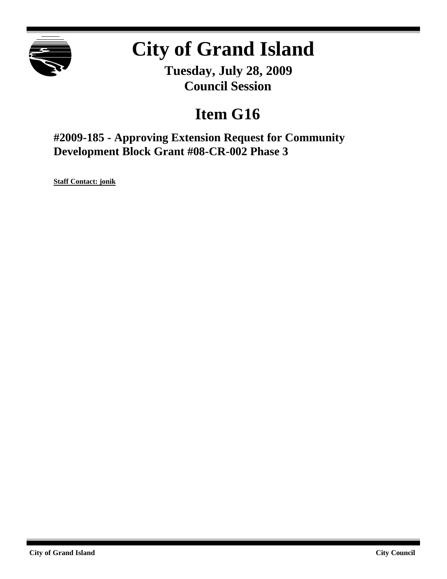

# **City of Grand Island**

**Tuesday, July 28, 2009 Council Session**

# **Item G16**

**#2009-185 - Approving Extension Request for Community Development Block Grant #08-CR-002 Phase 3**

**Staff Contact: jonik**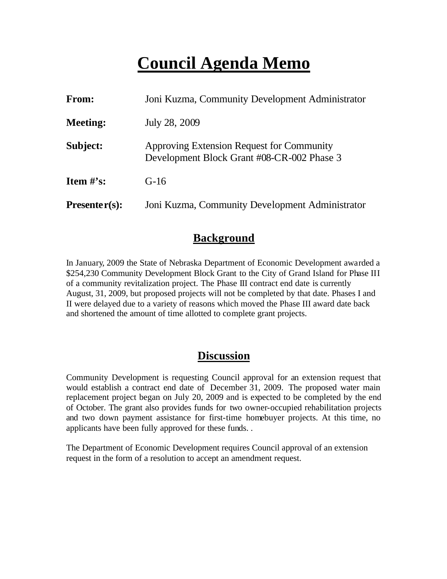# **Council Agenda Memo**

| From:           | Joni Kuzma, Community Development Administrator                                         |
|-----------------|-----------------------------------------------------------------------------------------|
| <b>Meeting:</b> | July 28, 2009                                                                           |
| Subject:        | Approving Extension Request for Community<br>Development Block Grant #08-CR-002 Phase 3 |
| Item $\#$ 's:   | $G-16$                                                                                  |
| $Presenter(s):$ | Joni Kuzma, Community Development Administrator                                         |

#### **Background**

In January, 2009 the State of Nebraska Department of Economic Development awarded a \$254,230 Community Development Block Grant to the City of Grand Island for Phase III of a community revitalization project. The Phase III contract end date is currently August, 31, 2009, but proposed projects will not be completed by that date. Phases I and II were delayed due to a variety of reasons which moved the Phase III award date back and shortened the amount of time allotted to complete grant projects.

#### **Discussion**

Community Development is requesting Council approval for an extension request that would establish a contract end date of December 31, 2009. The proposed water main replacement project began on July 20, 2009 and is expected to be completed by the end of October. The grant also provides funds for two owner-occupied rehabilitation projects and two down payment assistance for first-time homebuyer projects. At this time, no applicants have been fully approved for these funds. .

The Department of Economic Development requires Council approval of an extension request in the form of a resolution to accept an amendment request.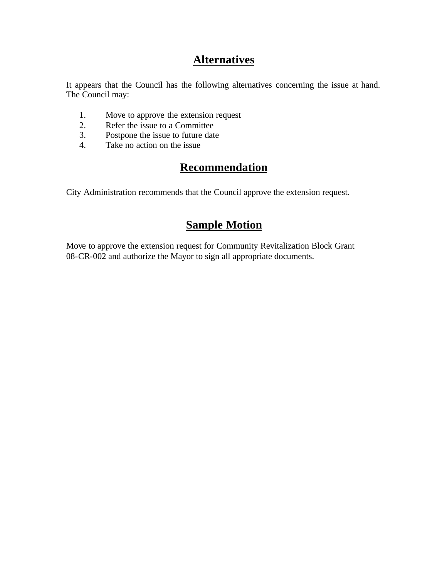### **Alternatives**

It appears that the Council has the following alternatives concerning the issue at hand. The Council may:

- 1. Move to approve the extension request
- 2. Refer the issue to a Committee<br>3. Postpone the issue to future date
- Postpone the issue to future date
- 4. Take no action on the issue

## **Recommendation**

City Administration recommends that the Council approve the extension request.

### **Sample Motion**

Move to approve the extension request for Community Revitalization Block Grant 08-CR-002 and authorize the Mayor to sign all appropriate documents.